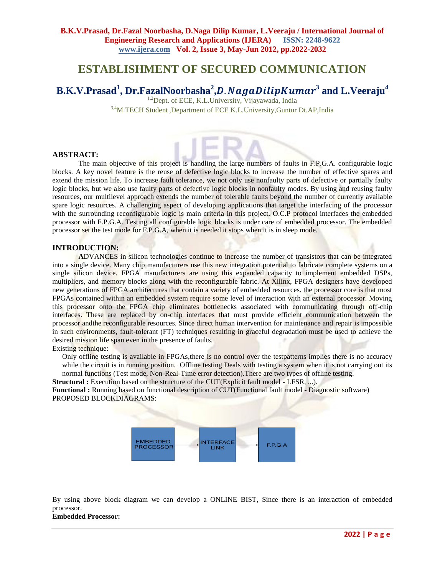## **ESTABLISHMENT OF SECURED COMMUNICATION**

# **B.K.V.Prasad<sup>1</sup> , Dr.FazalNoorbasha<sup>2</sup> ,**. **3 and L.Veeraju<sup>4</sup>**

<sup>1,2</sup>Dept. of ECE, K.L.University, Vijayawada, India

3,4M.TECH Student ,Department of ECE K.L.University,Guntur Dt.AP,India

#### **ABSTRACT:**

The main objective of this project is handling the large numbers of faults in F.P.G.A. configurable logic blocks. A key novel feature is the reuse of defective logic blocks to increase the number of effective spares and extend the mission life. To increase fault tolerance, we not only use nonfaulty parts of defective or partially faulty logic blocks, but we also use faulty parts of defective logic blocks in nonfaulty modes. By using and reusing faulty resources, our multilevel approach extends the number of tolerable faults beyond the number of currently available spare logic resources. A challenging aspect of developing applications that target the interfacing of the processor with the surrounding reconfigurable logic is main criteria in this project. O.C.P protocol interfaces the embedded processor with F.P.G.A. Testing all configurable logic blocks is under care of embedded processor. The embedded processor set the test mode for F.P.G.A, when it is needed it stops when it is in sleep mode.

#### **INTRODUCTION:**

**A**DVANCES in silicon technologies continue to increase the number of transistors that can be integrated into a single device. Many chip manufacturers use this new integration potential to fabricate complete systems on a single silicon device. FPGA manufacturers are using this expanded capacity to implement embedded DSPs, multipliers, and memory blocks along with the reconfigurable fabric. At Xilinx, FPGA designers have developed new generations of FPGA architectures that contain a variety of embedded resources. the processor core is that most FPGAs contained within an embedded system require some level of interaction with an external processor. Moving this processor onto the FPGA chip eliminates bottlenecks associated with communicating through off-chip interfaces. These are replaced by on-chip interfaces that must provide efficient communication between the processor andthe reconfigurable resources. Since direct human intervention for maintenance and repair is impossible in such environments, fault-tolerant (FT) techniques resulting in graceful degradation must be used to achieve the desired mission life span even in the presence of faults.

Existing technique:

Only offline testing is available in FPGAs,there is no control over the testpatterns implies there is no accuracy while the circuit is in running position. Offline testing Deals with testing a system when it is not carrying out its normal functions (Test mode, Non-Real-Time error detection).There are two types of offline testing.

**Structural :** Execution based on the structure of the CUT(Explicit fault model - LFSR, ...).

**Functional :** Running based on functional description of CUT(Functional fault model - Diagnostic software) PROPOSED BLOCKDIAGRAMS:



By using above block diagram we can develop a ONLINE BIST, Since there is an interaction of embedded processor.

#### **Embedded Processor:**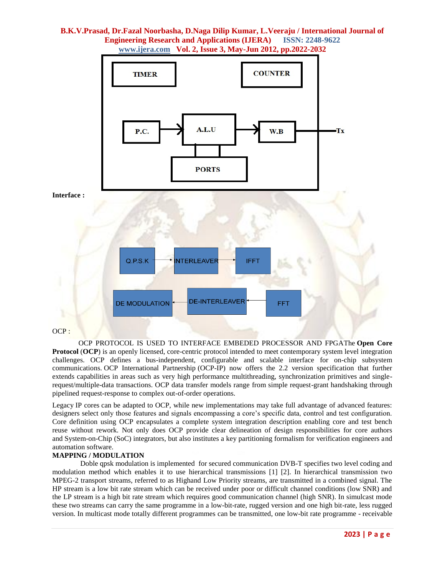

OCP :

OCP PROTOCOL IS USED TO INTERFACE EMBEDED PROCESSOR AND FPGAThe **Open Core Protocol** (**OCP**) is an openly licensed, core-centric protocol intended to meet contemporary system level integration challenges. OCP defines a bus-independent, configurable and scalable interface for on-chip subsystem communications. [OCP International Partnership](http://en.wikipedia.org/wiki/OCP_International_Partnership) [\(OCP-IP\)](http://en.wikipedia.org/wiki/OCP-IP) now offers the 2.2 version specification that further extends capabilities in areas such as very high performance multithreading, synchronization primitives and singlerequest/multiple-data transactions. OCP data transfer models range from simple request-grant handshaking through pipelined request-response to complex out-of-order operations.

Legacy [IP cores](http://en.wikipedia.org/wiki/Semiconductor_intellectual_property_core) can be adapted to OCP, while new implementations may take full advantage of advanced features: designers select only those features and signals encompassing a core's specific data, control and test configuration. Core definition using OCP encapsulates a complete system integration description enabling core and test bench reuse without rework. Not only does OCP provide clear delineation of design responsibilities for core authors and [System-on-Chip](http://en.wikipedia.org/wiki/System-on-Chip) (SoC) integrators, but also institutes a key partitioning formalism for verification engineers and automation software.

#### **MAPPING / MODULATION**

Doble qpsk modulation is implemented for secured communication DVB-T specifies two level coding and modulation method which enables it to use hierarchical transmissions [1] [2]. In hierarchical transmission two MPEG-2 transport streams, referred to as Highand Low Priority streams, are transmitted in a combined signal. The HP stream is a low bit rate stream which can be received under poor or difficult channel conditions (low SNR) and the LP stream is a high bit rate stream which requires good communication channel (high SNR). In simulcast mode these two streams can carry the same programme in a low-bit-rate, rugged version and one high bit-rate, less rugged version. In multicast mode totally different programmes can be transmitted, one low-bit rate programme - receivable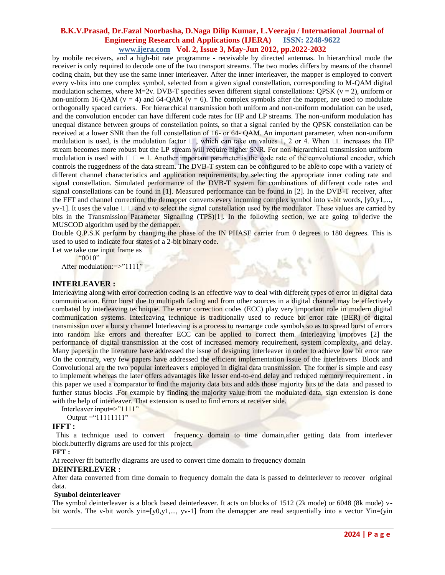by mobile receivers, and a high-bit rate programme - receivable by directed antennas. In hierarchical mode the receiver is only required to decode one of the two transport streams. The two modes differs by means of the channel coding chain, but they use the same inner interleaver. After the inner interleaver, the mapper is employed to convert every v-bits into one complex symbol, selected from a given signal constellation, corresponding to M-QAM digital modulation schemes, where M=2v. DVB-T specifies seven different signal constellations: QPSK ( $v = 2$ ), uniform or non-uniform 16-QAM ( $v = 4$ ) and 64-QAM ( $v = 6$ ). The complex symbols after the mapper, are used to modulate orthogonally spaced carriers. For hierarchical transmission both uniform and non-uniform modulation can be used, and the convolution encoder can have different code rates for HP and LP streams. The non-uniform modulation has unequal distance between groups of constellation points, so that a signal carried by the QPSK constellation can be received at a lower SNR than the full constellation of 16- or 64- QAM. An important parameter, when non-uniform modulation is used, is the modulation factor  $\Box$ , which can take on values 1, 2 or 4. When  $\Box$  increases the HP stream becomes more robust but the LP stream will require higher SNR. For non-hierarchical transmission uniform modulation is used with  $\Box \Box = 1$ . Another important parameter is the code rate of the convolutional encoder, which controls the ruggedness of the data stream. The DVB-T system can be configured to be able to cope with a variety of different channel characteristics and application requirements, by selecting the appropriate inner coding rate and signal constellation. Simulated performance of the DVB-T system for combinations of different code rates and signal constellations can be found in [1]. Measured performance can be found in [2]. In the DVB-T receiver, after the FFT and channel correction, the demapper converts every incoming complex symbol into v-bit words, [y0,y1,..., yv-1]. It uses the value  $\Box$   $\Box$  and v to select the signal constellation used by the modulator. These values are carried by bits in the Transmission Parameter Signalling (TPS)[1]. In the following section, we are going to derive the MUSCOD algorithm used by the demapper.

Double Q.P.S.K perform by changing the phase of the IN PHASE carrier from 0 degrees to 180 degrees. This is used to used to indicate four states of a 2-bit binary code.

 $2$  de

Let we take one input frame as

"0010"

After modulation:=>"1111"

#### **INTERLEAVER :**

Interleaving along with error correction coding is an effective way to deal with different types of error in digital data communication. Error burst due to multipath fading and from other sources in a digital channel may be effectively combated by interleaving technique. The error correction codes (ECC) play very important role in modern digital communication systems. Interleaving technique is traditionally used to reduce bit error rate (BER) of digital transmission over a bursty channel Interleaving is a process to rearrange code symbols so as to spread burst of errors into random like errors and thereafter ECC can be applied to correct them. Interleaving improves [2] the performance of digital transmission at the cost of increased memory requirement, system complexity, and delay. Many papers in the literature have addressed the issue of designing interleaver in order to achieve low bit error rate On the contrary, very few papers have addressed the efficient implementation issue of the interleavers Block and Convolutional are the two popular interleavers employed in digital data transmission. The former is simple and easy to implement whereas the later offers advantages like lesser end-to-end delay and reduced memory requirement . in this paper we used a comparator to find the majority data bits and adds those majority bits to the data and passed to further status blocks .For example by finding the majority value from the modulated data, sign extension is done with the help of interleaver. That extension is used to find errors at receiver side.

Interleaver input=>"1111" Output = " $11111111"$ 

## **IFFT :**

 This a technique used to convert frequency domain to time domain,after getting data from interlever block.butterfly digrams are used for this project.

#### **FFT :**

At receiver fft butterfly diagrams are used to convert time domain to frequency domain

#### **DEINTERLEVER :**

After data converted from time domain to frequency domain the data is passed to deinterlever to recover original data.

#### **Symbol deinterleaver**

The symbol deinterleaver is a block based deinterleaver. It acts on blocks of 1512 (2k mode) or 6048 (8k mode) vbit words. The v-bit words yin=[y0,y1,..., yv-1] from the demapper are read sequentially into a vector Yin=(yin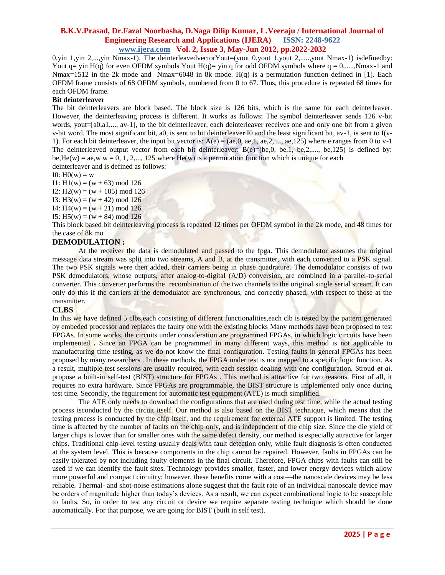0,yin 1,yin 2,...,yin Nmax-1). The deinterleavedvectorYout=(yout 0,yout 1,yout 2,.....,yout Nmax-1) isdefinedby: Yout  $q = \text{yin H}(q)$  for even OFDM symbols Yout  $H(q) = \text{yin q}$  for odd OFDM symbols where  $q = 0, \dots, N$ max-1 and Nmax=1512 in the 2k mode and Nmax=6048 in 8k mode. H(q) is a permutation function defined in [1]. Each OFDM frame consists of 68 OFDM symbols, numbered from 0 to 67. Thus, this procedure is repeated 68 times for each OFDM frame.

#### **Bit deinterleaver**

The bit deinterleavers are block based. The block size is 126 bits, which is the same for each deinterleaver. However, the deinterleaving process is different. It works as follows: The symbol deinterleaver sends 126 v-bit words, yout=[a0,a1,..., av-1], to the bit deinterleaver, each deinterleaver receives one and only one bit from a given v-bit word. The most significant bit, a0, is sent to bit deinterleaver I0 and the least significant bit, av-1, is sent to I(v-1). For each bit deinterleaver, the input bit vector is:  $A(e) = (ae, 0, ae, 1, ae, 2, \ldots, ae, 125)$  where e ranges from 0 to v-1 The deinterleaved output vector from each bit deinterleaver:  $B(e)=(be,0, be,1, be,2,..., be,125)$  is defined by: be, He(w) = ae, w w = 0, 1, 2,..., 125 where He(w) is a permutation function which is unique for each deinterleaver and is defined as follows:

I0:  $H0(w) = w$ 

 $I1: H1(w) = (w + 63) \text{ mod } 126$ 

I2:  $H2(w) = (w + 105) \mod 126$ 

I3: H3(w) =  $(w + 42)$  mod 126

I4:  $H4(w) = (w + 21) \text{ mod } 126$ 

I5:  $H5(w) = (w + 84) \text{ mod } 126$ 

This block based bit deinterleaving process is repeated 12 times per OFDM symbol in the 2k mode, and 48 times for the case of 8k mo

#### **DEMODULATION :**

At the receiver the data is demodulated and passed to the fpga. This demodulator assumes the original message data stream was split into two streams, A and B, at the transmitter, with each converted to a PSK signal. The two PSK signals were then added, their carriers being in phase quadrature. The demodulator consists of two PSK demodulators, whose outputs, after analog-to-digital (A/D) conversion, are combined in a parallel-to-serial converter. This converter performs the recombination of the two channels to the original single serial stream. It can only do this if the carriers at the demodulator are synchronous, and correctly phased, with respect to those at the transmitter.

#### **CLBS**

In this we have defined 5 clbs,each consisting of different functionalities,each clb is tested by the pattern generated by embeded processor and replaces the faulty one with the existing blocks Many methods have been proposed to test FPGAs. In some works, the circuits under consideration are programmed FPGAs, in which logic circuits have been implemented **.** Since an FPGA can be programmed in many different ways, this method is not applicable to manufacturing time testing, as we do not know the final configuration. Testing faults in general FPGAs has been proposed by many researchers . In these methods, the FPGA under test is not mapped to a specific logic function. As a result, multiple test sessions are usually required, with each session dealing with one configuration. Stroud *et al.*  propose a built-in self-test (BIST) structure for FPGAs . This method is attractive for two reasons. First of all, it requires no extra hardware. Since FPGAs are programmable, the BIST structure is implemented only once during test time. Secondly, the requirement for automatic test equipment (ATE) is much simplified.

The ATE only needs to download the configurations that are used during test time, while the actual testing process isconducted by the circuit itself. Our method is also based on the BIST technique, which means that the testing process is conducted by the chip itself, and the requirement for external ATE support is limited. The testing time is affected by the number of faults on the chip only, and is independent of the chip size. Since the die yield of larger chips is lower than for smaller ones with the same defect density, our method is especially attractive for larger chips. Traditional chip-level testing usually deals with fault detection only, while fault diagnosis is often conducted at the system level. This is because components in the chip cannot be repaired. However, faults in FPGAs can be easily tolerated by not including faulty elements in the final circuit. Therefore, FPGA chips with faults can still be used if we can identify the fault sites. Technology provides smaller, faster, and lower energy devices which allow more powerful and compact circuitry; however, these benefits come with a cost—the nanoscale devices may be less reliable. Thermal- and shot-noise estimations alone suggest that the fault rate of an individual nanoscale device may be orders of magnitude higher than today's devices. As a result, we can expect combinational logic to be susceptible to faults. So, in order to test any circuit or device we require separate testing technique which should be done automatically. For that purpose, we are going for BIST (built in self test).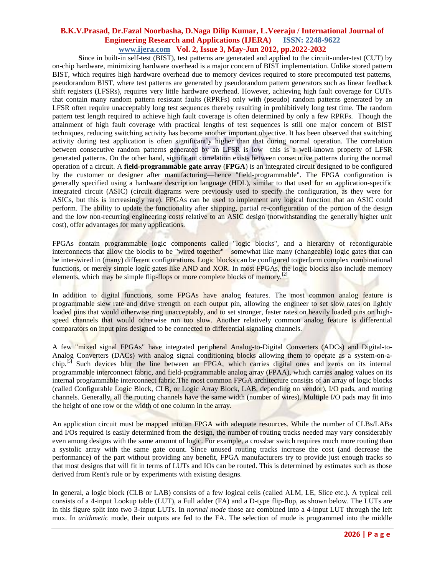**S**ince in built-in self-test (BIST), test patterns are generated and applied to the circuit-under-test (CUT) by on-chip hardware, minimizing hardware overhead is a major concern of BIST implementation. Unlike stored pattern BIST, which requires high hardware overhead due to memory devices required to store precomputed test patterns, pseudorandom BIST, where test patterns are generated by pseudorandom pattern generators such as linear feedback shift registers (LFSRs), requires very little hardware overhead. However, achieving high fault coverage for CUTs that contain many random pattern resistant faults (RPRFs) only with (pseudo) random patterns generated by an LFSR often require unacceptably long test sequences thereby resulting in prohibitively long test time. The random pattern test length required to achieve high fault coverage is often determined by only a few RPRFs. Though the attainment of high fault coverage with practical lengths of test sequences is still one major concern of BIST techniques, reducing switching activity has become another important objective. It has been observed that switching activity during test application is often significantly higher than that during normal operation. The correlation between consecutive random patterns generated by an LFSR is low—this is a well-known property of LFSR generated patterns. On the other hand, significant correlation exists between consecutive patterns during the normal operation of a circuit. A **field-programmable gate array** (**FPGA**) is an [integrated circuit](http://en.wikipedia.org/wiki/Integrated_circuit) designed to be configured by the customer or designer after manufacturing—hence ["field-programmable"](http://en.wikipedia.org/wiki/Field-programmable). The FPGA configuration is generally specified using a [hardware description language](http://en.wikipedia.org/wiki/Hardware_description_language) (HDL), similar to that used for an [application-specific](http://en.wikipedia.org/wiki/Application-specific_integrated_circuit)  [integrated circuit](http://en.wikipedia.org/wiki/Application-specific_integrated_circuit) (ASIC) [\(circuit diagrams](http://en.wikipedia.org/wiki/Circuit_diagram) were previously used to specify the configuration, as they were for ASICs, but this is increasingly rare). FPGAs can be used to implement any logical function that an ASIC could perform. The ability to update the functionality after shipping, [partial re-configuration](http://en.wikipedia.org/wiki/Partial_re-configuration) of the portion of the design and the low non-recurring engineering costs relative to an ASIC design (notwithstanding the generally higher unit cost), offer advantages for many applications.

FPGAs contain [programmable logic](http://en.wikipedia.org/wiki/Programmable_logic_device) components called "logic blocks", and a hierarchy of reconfigurable interconnects that allow the blocks to be "wired together"—somewhat like many (changeable) logic gates that can be inter-wired in (many) different configurations. Logic blocks can be configured to perform complex [combinational](http://en.wikipedia.org/wiki/Combinational_logic)  [functions,](http://en.wikipedia.org/wiki/Combinational_logic) or merely simple [logic gates](http://en.wikipedia.org/wiki/Logic_gate) like [AND](http://en.wikipedia.org/wiki/AND_gate) and [XOR.](http://en.wikipedia.org/wiki/XOR_gate) In most FPGAs, the logic blocks also include memory elements, which may be simple [flip-flops](http://en.wikipedia.org/wiki/Flip-flop_%28electronics%29) or more complete blocks of memory.<sup>[\[2\]](http://en.wikipedia.org/wiki/Field-programmable_gate_array#cite_note-FPGA-1)</sup>

In addition to digital functions, some FPGAs have analog features. The most common analog feature is programmable [slew rate](http://en.wikipedia.org/wiki/Slew_rate) and drive strength on each output pin, allowing the engineer to set slow rates on lightly loaded pins that would otherwise [ring](http://en.wikipedia.org/wiki/Electrical_resonance) unacceptably, and to set stronger, faster rates on heavily loaded pins on highspeed channels that would otherwise run too slow. Another relatively common analog feature is differential comparators on input pins designed to be connected to [differential signaling](http://en.wikipedia.org/wiki/Differential_signaling) channels.

A few ["mixed signal](http://en.wikipedia.org/wiki/Mixed-signal_integrated_circuit) FPGAs" have integrated peripheral [Analog-to-Digital Converters \(ADCs\)](http://en.wikipedia.org/wiki/Analog-to-Digital_Converter) and [Digital-to-](http://en.wikipedia.org/wiki/Digital-to-Analog_Converter)[Analog Converters \(DACs\)](http://en.wikipedia.org/wiki/Digital-to-Analog_Converter) with analog signal conditioning blocks allowing them to operate as a [system-on-a](http://en.wikipedia.org/wiki/System-on-a-chip)[chip.](http://en.wikipedia.org/wiki/System-on-a-chip)<sup>[\[5\]](http://en.wikipedia.org/wiki/Field-programmable_gate_array#cite_note-4)</sup> Such devices blur the line between an FPGA, which carries digital ones and zeros on its internal programmable interconnect fabric, and [field-programmable analog array](http://en.wikipedia.org/wiki/Field-programmable_analog_array) (FPAA), which carries analog values on its internal programmable interconnect fabric.The most common FPGA architecture consists of an array of logic blocks (called Configurable Logic Block, CLB, or Logic Array Block, LAB, depending on vendor), I/O pads, and routing channels. Generally, all the routing channels have the same width (number of wires). Multiple I/O pads may fit into the height of one row or the width of one column in the array.

An application circuit must be mapped into an FPGA with adequate resources. While the number of CLBs/LABs and I/Os required is easily determined from the design, the number of routing tracks needed may vary considerably even among designs with the same amount of logic. For example, a [crossbar switch](http://en.wikipedia.org/wiki/Crossbar_switch) requires much more routing than a [systolic array](http://en.wikipedia.org/wiki/Systolic_array) with the same gate count. Since unused routing tracks increase the cost (and decrease the performance) of the part without providing any benefit, FPGA manufacturers try to provide just enough tracks so that most designs that will fit in terms of LUTs and IOs can be routed. This is determined by estimates such as those derived fro[m Rent's rule](http://en.wikipedia.org/wiki/Rent%27s_rule) or by experiments with existing designs.

In general, a logic block (CLB or LAB) consists of a few logical cells (called ALM, LE, Slice etc.). A typical cell consists of a 4-input [Lookup table](http://en.wikipedia.org/wiki/Lookup_table#Hardware_LUTs) (LUT), a [Full adder](http://en.wikipedia.org/wiki/Full_adder) (FA) and a D-type [flip-flop,](http://en.wikipedia.org/wiki/Flip-flop_%28electronics%29) as shown below. The LUTs are in this figure split into two 3-input LUTs. In *normal mode* those are combined into a 4-input LUT through the left [mux.](http://en.wikipedia.org/wiki/Multiplexer) In *arithmetic* mode, their outputs are fed to the FA. The selection of mode is programmed into the middle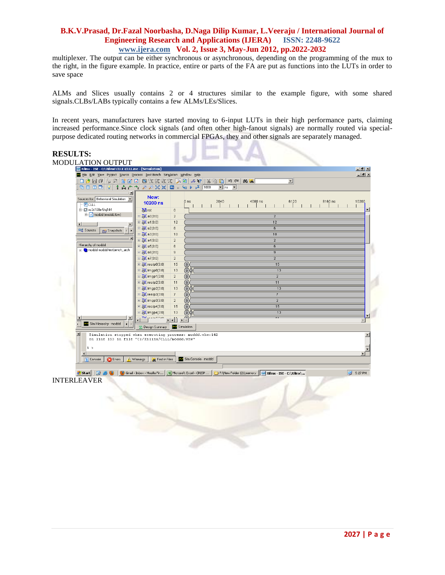multiplexer. The output can be either synchronous or asynchronous, depending on the programming of the mux to the right, in the figure example. In practice, entire or parts of the FA are put as functions into the LUTs in order to save space

ALMs and Slices usually contains 2 or 4 structures similar to the example figure, with some shared signals.CLBs/LABs typically contains a few ALMs/LEs/Slices.

In recent years, manufacturers have started moving to 6-input LUTs in their high performance parts, claiming increased performance.Since clock signals (and often other high[-fanout](http://en.wikipedia.org/wiki/Fanout) signals) are normally routed via specialpurpose dedicated routing networks in commercial FPGAs, they and other signals are separately managed.

| <b>RESULTS:</b>                               |                                                                                                                                                                                                                                                                                                                                                                                                                                                                                            |                                       |                                                          |         |                            |
|-----------------------------------------------|--------------------------------------------------------------------------------------------------------------------------------------------------------------------------------------------------------------------------------------------------------------------------------------------------------------------------------------------------------------------------------------------------------------------------------------------------------------------------------------------|---------------------------------------|----------------------------------------------------------|---------|----------------------------|
| <b>MODULATION OUTPUT</b>                      |                                                                                                                                                                                                                                                                                                                                                                                                                                                                                            |                                       |                                                          |         |                            |
|                                               | Xilinx - ISE - C:\Xilinx\CLLL\CLLL.ise - [Simulation]                                                                                                                                                                                                                                                                                                                                                                                                                                      |                                       |                                                          |         | $\Box$ $\theta$   $\times$ |
|                                               | File Edit View Project Source Process Test-Bench Simulation Window Help                                                                                                                                                                                                                                                                                                                                                                                                                    |                                       |                                                          |         | $-10$ $\times$             |
|                                               | $\blacksquare$ $\blacksquare$ $\blacksquare$ $\blacksquare$ $\blacksquare$ $\blacksquare$ $\blacksquare$ $\blacksquare$ $\blacksquare$ $\blacksquare$ $\blacksquare$ $\blacksquare$ $\blacksquare$ $\blacksquare$ $\blacksquare$ $\blacksquare$ $\blacksquare$ $\blacksquare$ $\blacksquare$ $\blacksquare$ $\blacksquare$ $\blacksquare$ $\blacksquare$ $\blacksquare$ $\blacksquare$ $\blacksquare$ $\blacksquare$ $\blacksquare$ $\blacksquare$ $\blacksquare$ $\blacksquare$ $\blacks$ |                                       | <b>IO OI</b><br><b>西南</b><br>ᅬ                           |         |                            |
| 1680 O I                                      | 古台台 2 2 X X 回 = 每 ▶ X 1000<br>÷<br>₽                                                                                                                                                                                                                                                                                                                                                                                                                                                       |                                       | $\vert \mathbf{v} \vert$<br>$\mathbf{v}$ ns              |         |                            |
| Sources for: Behavioral Simulation v          | Now:<br>10200 ns                                                                                                                                                                                                                                                                                                                                                                                                                                                                           | 2040<br>0 <sub>ns</sub>               | 4080 ns<br>6120                                          | 8160 ns | 10200                      |
| - <b>F</b> CLLL                               |                                                                                                                                                                                                                                                                                                                                                                                                                                                                                            |                                       |                                                          |         |                            |
| 白 間 xc3s100e-5tq144<br>F- n moddd (moddd.tbw) | <b>M</b> <sub>rst</sub>                                                                                                                                                                                                                                                                                                                                                                                                                                                                    | $\mathbf 0$                           |                                                          |         |                            |
|                                               | ⊞ <mark>√</mark> a0[3:0]                                                                                                                                                                                                                                                                                                                                                                                                                                                                   | $\overline{2}$                        |                                                          |         |                            |
| $\left  \cdot \right $                        | ⊞ 7 a1[3:0]                                                                                                                                                                                                                                                                                                                                                                                                                                                                                | 12                                    | 12                                                       |         |                            |
| <sup>国</sup> Sources                          | <b>⊞ 2</b> a2[3:0]<br><b>PRI</b> Snapshots<br>⊞ 7 a3[3:0]                                                                                                                                                                                                                                                                                                                                                                                                                                  | 6<br>10                               | 6<br>10                                                  |         |                            |
|                                               | ⊞ 2 a4[3:0]                                                                                                                                                                                                                                                                                                                                                                                                                                                                                | $\overline{2}$                        | $\overline{2}$                                           |         |                            |
| Hierarchy of moddd:                           | ⊞ 2 a5[3:0]                                                                                                                                                                                                                                                                                                                                                                                                                                                                                | 6                                     | 6                                                        |         |                            |
| F & moddd moddd testbench_arch                | $\mathbb{E}$ a6[3:0]                                                                                                                                                                                                                                                                                                                                                                                                                                                                       | $_{9}$                                | $\overline{9}$                                           |         |                            |
|                                               | ⊞ 2 a7[3:0]                                                                                                                                                                                                                                                                                                                                                                                                                                                                                | $\overline{2}$                        |                                                          |         |                            |
|                                               | $\boxplus \bigotimes$ realp0[3:0]                                                                                                                                                                                                                                                                                                                                                                                                                                                          | $\langle 0 \rangle$<br>15             | 15                                                       |         |                            |
|                                               | <b>E X</b> imgp0[3:0]                                                                                                                                                                                                                                                                                                                                                                                                                                                                      | $\langle 0 \rangle$<br>13             | 13                                                       |         |                            |
|                                               | □ <mark>る(</mark> imgp1[3:0]                                                                                                                                                                                                                                                                                                                                                                                                                                                               | $\langle 0 \rangle$<br>$\overline{2}$ | $\overline{2}$                                           |         |                            |
|                                               | $\boxplus \bigotimes$ realp2[3:0]                                                                                                                                                                                                                                                                                                                                                                                                                                                          | $\langle 0 \rangle$<br>11             | 11                                                       |         |                            |
|                                               |                                                                                                                                                                                                                                                                                                                                                                                                                                                                                            | (0)<br>13                             | 13                                                       |         |                            |
|                                               | $\boxplus \overline{\bigotimes}$ realp3[3:0]                                                                                                                                                                                                                                                                                                                                                                                                                                               | $\langle 0 \rangle$<br>$7 -$          |                                                          |         |                            |
|                                               | □ <mark>る(</mark> imgp3[3:0]                                                                                                                                                                                                                                                                                                                                                                                                                                                               | $\langle 0 \rangle$<br>$\overline{2}$ | $\overline{2}$                                           |         |                            |
|                                               | $\boxplus \overline{\odot}$ (realp4[3:0]                                                                                                                                                                                                                                                                                                                                                                                                                                                   | $\langle 0 \rangle$<br>15             | 15                                                       |         |                            |
|                                               | □ <mark>る(</mark> imgp4[3:0]                                                                                                                                                                                                                                                                                                                                                                                                                                                               | 13<br>$\langle 0 \rangle$             | 13                                                       |         | ▼                          |
|                                               |                                                                                                                                                                                                                                                                                                                                                                                                                                                                                            | <u> 11 17</u>                         |                                                          |         |                            |
| Sim Hierarchy - moddd                         | <b>E</b> Design Summary                                                                                                                                                                                                                                                                                                                                                                                                                                                                    | <b>器</b> Simulation                   |                                                          |         |                            |
| $\vert x \vert$<br>1 >                        | Simulation stopped when executing process: moddd.vhw:142<br>on line 153 in file "C:/Xilinx/CLLL/moddd.vhw"                                                                                                                                                                                                                                                                                                                                                                                 |                                       |                                                          |         |                            |
| <b>E</b> Console                              | <b>C</b> Errors<br>Warnings<br>Find in Files                                                                                                                                                                                                                                                                                                                                                                                                                                               | Sim Console - moddd                   |                                                          |         |                            |
| <b>Start</b>                                  | <b>B 9 9</b><br>Gmail - Inbox - Mozilla Fir                                                                                                                                                                                                                                                                                                                                                                                                                                                | <b>38</b> Microsoft Excel - CRISP     | F:\New Folder (2)\memory   iss Xilinx - ISE - C:\Xilinx\ |         | $\mathbb{R}$ 5:27 PM       |
| <b>INTERLEAVER</b>                            |                                                                                                                                                                                                                                                                                                                                                                                                                                                                                            |                                       |                                                          |         |                            |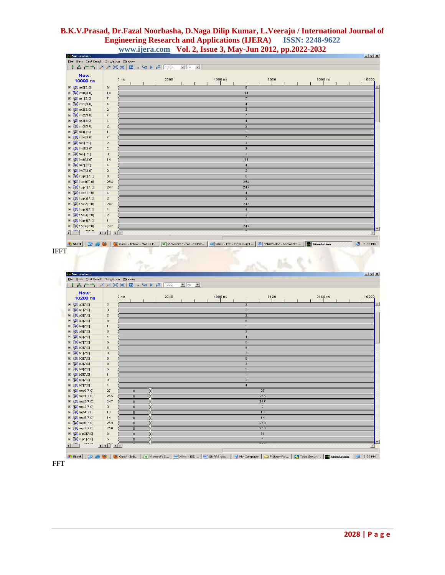| Now:                                                                   |                                                       | 0 <sub>ns</sub>                                                                                                                  | 2000 |                        | 4000 ns |                         | 6000                              | 8000 ns |         |
|------------------------------------------------------------------------|-------------------------------------------------------|----------------------------------------------------------------------------------------------------------------------------------|------|------------------------|---------|-------------------------|-----------------------------------|---------|---------|
| 10000 ns                                                               |                                                       |                                                                                                                                  |      |                        |         |                         |                                   |         |         |
| ⊞ 2 re0[3:0]                                                           | 6                                                     |                                                                                                                                  |      |                        |         | 6                       |                                   |         |         |
| ⊞ 2 im0[3:0]                                                           | 14                                                    |                                                                                                                                  |      |                        |         | 14                      |                                   |         |         |
| ⊞ 2 re1[3:0]                                                           | $\overline{t}$                                        |                                                                                                                                  |      |                        |         | $\overline{7}$          |                                   |         |         |
| ⊞ 2 im1[3:0]                                                           | $\sqrt{4}$                                            |                                                                                                                                  |      |                        |         | $\overline{4}$          |                                   |         |         |
| ⊞ 2 re2[3:0]                                                           | $\mathbf{2}% ^{T}=\mathbf{2}^{T}\times\mathbf{2}^{T}$ |                                                                                                                                  |      |                        |         | $\overline{2}$          |                                   |         |         |
| <b>⊞ X</b> im2[3:0]                                                    | $\boldsymbol{7}$                                      |                                                                                                                                  |      |                        |         | $\overline{7}$          |                                   |         |         |
| ⊞ 2 re3[3:0]                                                           | $\sqrt{4}$                                            |                                                                                                                                  |      |                        |         | $\overline{4}$          |                                   |         |         |
| ⊞ 2 im3[3:0]                                                           | $\mathbf 2$                                           |                                                                                                                                  |      |                        |         | $\overline{2}$          |                                   |         |         |
| □ X re4[3:0]                                                           | $\mathbf{1}$                                          |                                                                                                                                  |      |                        |         | $\overline{1}$          |                                   |         |         |
| ⊞ 2 im4[3:0]                                                           | $\overline{\mathfrak{r}}$                             |                                                                                                                                  |      |                        |         | $\overline{7}$          |                                   |         |         |
| ⊞ 2 re5[3:0]                                                           | $\overline{a}$                                        |                                                                                                                                  |      |                        |         | $\overline{2}$          |                                   |         |         |
| <b>⊞ &amp; im5[3:0]</b>                                                | $\sqrt{2}$                                            |                                                                                                                                  |      |                        |         | $\overline{2}$          |                                   |         |         |
|                                                                        |                                                       |                                                                                                                                  |      |                        |         |                         |                                   |         |         |
| ⊞ 2 re6[3:0]                                                           | $\ensuremath{\mathsf{3}}$                             |                                                                                                                                  |      |                        |         |                         |                                   |         |         |
| ⊞ & im6[3:0]                                                           | 14                                                    |                                                                                                                                  |      |                        |         | $\overline{14}$         |                                   |         |         |
| ⊞ 2 re7[3:0]                                                           | $\sqrt{4}$                                            |                                                                                                                                  |      |                        |         | $\overline{4}$          |                                   |         |         |
| ⊞ <mark>√</mark> im7[3:0]                                              | $\,$ 2 $\,$                                           |                                                                                                                                  |      |                        |         | $\overline{2}$          |                                   |         |         |
| ⊞ <mark>√</mark> frop0[7:0]                                            | 6                                                     |                                                                                                                                  |      |                        |         | $\overline{6}$          |                                   |         |         |
| □ <mark>◇ fiop0[7:0]</mark>                                            | 254                                                   |                                                                                                                                  |      |                        |         | 254                     |                                   |         |         |
| 田 入 frop1[7:0]                                                         | 247                                                   |                                                                                                                                  |      |                        |         | 247                     |                                   |         |         |
| $\Box$ $\partial$ flop1[7:0]                                           | $\overline{4}$                                        |                                                                                                                                  |      |                        |         | $\overline{4}$          |                                   |         |         |
| □ o frop2[7:0]                                                         | $\overline{a}$                                        |                                                                                                                                  |      |                        |         | $\overline{\mathbf{2}}$ |                                   |         |         |
| $\Box$ $\bigotimes$ fiop2[7:0]                                         | 247                                                   |                                                                                                                                  |      |                        |         | 247                     |                                   |         |         |
| ⊞ <a> frop3[7:0]</a>                                                   | $\overline{4}$                                        |                                                                                                                                  |      |                        |         | $\overline{4}$          |                                   |         |         |
| Ⅲ 2 fiop3[7:0]                                                         | $\overline{a}$                                        |                                                                                                                                  |      |                        |         | $\overline{2}$          |                                   |         |         |
|                                                                        | $\mathbf{1}$                                          |                                                                                                                                  |      |                        |         | $\overline{1}$          |                                   |         |         |
| 田 <mark>6X</mark> frop4[7:0]                                           |                                                       |                                                                                                                                  |      |                        |         | 247                     |                                   |         |         |
| ⊞ <mark>√</mark> fiop4[7:0]<br>$\sim$<br>$\overline{1}$ $\overline{1}$ | 247<br><u>लबी लंब</u>                                 |                                                                                                                                  |      |                        |         |                         |                                   |         |         |
| # Start   @<br>Simulation                                              |                                                       | Gmail - Inbox - Mozilla F 38 Microsoft Excel - CRISP 58 Xilinx - ISE - C:\Xilinx\CL 9 [2] SNAPS.doc - Microsoft  [22] Simulation |      |                        |         |                         |                                   |         | 5:32 PM |
| File View Test Bench Simulation Window                                 |                                                       | ∥↑Åŕጎ│ <i>ፆ ፆ</i> X X │◘ "ԿD ▶ Й │1000                                                                                           |      | $\bullet$ ns $\bullet$ |         |                         |                                   |         |         |
|                                                                        |                                                       |                                                                                                                                  |      |                        |         |                         |                                   |         |         |
| Now:                                                                   |                                                       | 0 <sub>ns</sub>                                                                                                                  | 2040 |                        | 4080 ns |                         | 6120                              | 8160 ns |         |
| 10200 ns                                                               |                                                       |                                                                                                                                  |      |                        |         |                         |                                   |         |         |
| ⊞ 2 a0[7:0]                                                            | $\sqrt{2}$                                            |                                                                                                                                  |      |                        |         | $\overline{2}$          |                                   |         |         |
| ⊞ <mark>√</mark> a1[7:0]                                               | $\ensuremath{\mathsf{3}}$                             |                                                                                                                                  |      |                        |         | 3                       |                                   |         |         |
| □ <mark>◇</mark> (a2[7:0]                                              | $\mathbf{2}$                                          |                                                                                                                                  |      |                        |         | $\overline{2}$          |                                   |         |         |
| 田 み a3[7:0]                                                            | 6                                                     |                                                                                                                                  |      |                        |         | 6                       |                                   |         |         |
| ⊞ <mark>√</mark> a4[7:0]                                               | $\mathbf{1}$                                          |                                                                                                                                  |      |                        |         | $\overline{1}$          |                                   |         |         |
| ⊞ 2 a5[7:0]                                                            | $\ensuremath{\mathsf{3}}$                             |                                                                                                                                  |      |                        |         | 3                       |                                   |         |         |
| ⊞ <mark>√</mark> a6[7:0]                                               | $\sim$                                                |                                                                                                                                  |      |                        |         | $\overline{4}$          |                                   |         |         |
| □ <mark>◇</mark> (a7[7:0]                                              | 6                                                     |                                                                                                                                  |      |                        |         | $\overline{6}$          |                                   |         |         |
| $\equiv$ $\sqrt{\frac{1}{2}}$ b0[7:0]                                  | 6                                                     |                                                                                                                                  |      |                        |         | $\overline{6}$          |                                   |         |         |
| □ o b1[7:0]                                                            | 3                                                     |                                                                                                                                  |      |                        |         | $\overline{3}$          |                                   |         |         |
| □ 2 b2[7:0]                                                            | 6                                                     |                                                                                                                                  |      |                        |         | $_{\rm 6}$              |                                   |         |         |
| $\Box$ $\partial X$ b3[7:0]                                            | 3                                                     |                                                                                                                                  |      |                        |         | $\overline{3}$          |                                   |         |         |
| ⊞ X b4[7:0]                                                            | 5                                                     |                                                                                                                                  |      |                        |         | $\overline{5}$          |                                   |         |         |
| ⊞ 2 b5[7:0]                                                            | $\mathbf{1}$                                          |                                                                                                                                  |      |                        |         | $\overline{1}$          |                                   |         |         |
| $\Box$ $\odot$ b6[7:0]                                                 | $\overline{\mathbf{3}}$                               |                                                                                                                                  |      |                        |         | 3                       |                                   |         |         |
| $\Box$ $\partial X$ b7[7:0]                                            | $\bf{4}$                                              |                                                                                                                                  |      |                        |         | $\overline{4}$          |                                   |         |         |
| ⊞ 2 rop0[7:0]                                                          | 27                                                    | $\mathbf 0$                                                                                                                      |      |                        |         |                         | $\overline{27}$                   |         |         |
| ⊞ O rop1[7:0]                                                          | 255                                                   | $\bf 0$                                                                                                                          |      |                        |         |                         | 255                               |         |         |
|                                                                        | 247                                                   | $\,0\,$                                                                                                                          |      |                        |         |                         | 247                               |         |         |
| 田 7 rop2[7:0]                                                          |                                                       |                                                                                                                                  |      |                        |         |                         |                                   |         |         |
| 田 <mark>6X</mark> rop3[7:0]                                            | $\overline{\mathbf{3}}$                               | $\mathbf 0$                                                                                                                      |      |                        |         |                         | $\overline{\mathbf{3}}$           |         |         |
| $\Box$ $\odot$ rop4[7:0]                                               | 13                                                    | $\mathbf 0$                                                                                                                      |      |                        |         |                         | 13                                |         |         |
| ⊞ O rop5[7:0]                                                          | $14$                                                  | $\overline{\mathbf{0}}$                                                                                                          |      |                        |         |                         | 14                                |         |         |
| □ <mark>◎</mark> (rop6[7:0]                                            | 253                                                   | $\bf 0$                                                                                                                          |      |                        |         |                         | 253                               |         |         |
| 田 <mark>6X</mark> rop7[7:0]                                            | 250                                                   | $\bf 0$                                                                                                                          |      |                        |         |                         | 250                               |         |         |
| 田 <mark>入</mark> iop0[7:0]<br>$\Box$ $\partial$ iop1[7:0]              | 31<br>5                                               | $\mathbf 0$<br>$\mathbf 0$                                                                                                       |      |                        |         |                         | $\overline{31}$<br>$\overline{5}$ |         |         |

FFT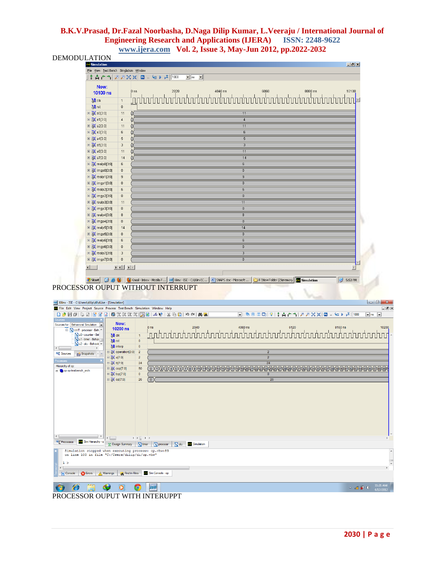**DEMODULATION** 

| File View Test Bench Simulation Window<br>†Åሶጎ│ <i>ዖዖ</i> X X│⊡ ୷⊊▶ ק2│1000<br>$\blacksquare$ ns $\blacksquare$<br>Now:<br>4040 ns<br>6060<br>8080 ns<br>10100<br>0 <sub>ns</sub><br>2020<br>10100 ns<br>$\delta$ l cik<br>$\mathbf 1$<br><b>M</b> <sub>rst</sub><br>$\,0\,$<br><b>⊞ <mark>る</mark></b> a0[3:0]<br>11<br>11<br><b>⊞ <mark>る(</mark>a1[3:0]</b><br>$\overline{4}$<br>$\frac{4}{3}$<br><b>⊞ <mark>⊙</mark>(a2[3:0]</b><br>11<br>11<br>$\overline{6}$<br>$\Box$ $\partial$ a3[3:0]<br>6<br>□ <mark>√</mark> a4[3:0]<br>$\sqrt{5}$<br>$\overline{5}$<br><b>⊞</b> <mark>√</mark> a5[3:0]<br>$\sqrt{3}$<br>$\overline{3}$<br>$\Box$ $\partial$ a6[3:0]<br>11<br>11<br>14<br>□ <mark>√</mark> a7[3:0]<br>14<br>$6\overline{6}$<br><b>⊞ ■ 2</b> realp0[3:0]<br>$\,6\,$<br>$\overline{0}$<br>$\boxplus \bigotimes$ imgp0[3:0]<br>$\,0\,$<br><b>⊞ 入</b> realp1[3:0]<br>$\overline{9}$<br>$\overline{9}$<br><b>E</b> <i>O</i> (imgp1[3:0]<br>$\overline{0}$<br>$\,0\,$<br><b>Ⅲ of realp2[3:0]</b><br>$\overline{6}$<br>$\,6\,$<br>田 o (imgp2[3:0]<br>$\overline{0}$<br>$\,0\,$<br><b>E</b> <i>o</i> € realp3[3:0]<br>11<br>11<br>$\overline{0}$<br><b>□ 入</b> imgp3[3:0]<br>$\,0\,$<br><b>⊞ X</b> realp4[3:0]<br>$\overline{8}$<br>$\bf{8}$<br><b>E</b> <i>S</i> (imgp4[3:0]<br>$0^-$<br>$\mathbf 0$<br>$\overline{14}$<br><b>⊞ 入</b> realp5[3:0]<br>14<br><b>⊞</b> <i>M</i> imgp5[3:0]<br>$\overline{0}$<br>$\mathbf 0$<br><b>E</b> <i>O</i> realp6[3:0]<br>$\,6\,$<br>$_{\rm 6}$<br>$\overline{0}$<br><b>□ 入</b> imgp6[3:0]<br>$\,0\,$<br>$\overline{3}$<br><b>⊞ X</b> realp7[3:0]<br>$\overline{3}$<br>$\overline{0}$<br><b>⊞ 入</b> imgp7[3:0]<br>$\,0\,$<br>$\left\  \cdot \right\ $<br><b>d</b> Start   <b>C</b> e <b>C</b>   C Gmail - Inbox - Mozilla F   iss Xilinx - ISE - C:\Xilinx\C   B   SNAPS.doc - Microsoft<br>F:\New Folder (2)\memory<br>3 5:53 PM<br>Simulation<br>PROCESSOR OUPUT WITHOUT INTERRUPT<br>xs Xilinx - ISE - C:\Users\dilip\di\di.ise - [Simulation]<br>$-0$<br>File Edit View Project Source Process Test Bench Simulation Window Help<br>▣░▓€□□□▏ <del>◊</del> ▏▌Å┢▝▚▎ <i>ቓူ</i> XӾ▏◘▗▕⋸▶▗ <sup>ϫ</sup> ▏1000<br>口户同日に回ぼす口博式双双双周回へや ぶ色色 つやめあ<br>$\overline{\bullet}$ ns $\overline{\bullet}$<br>Now:<br>。。。<br><u>「ո</u> տևորակությունը կազմական ավարտական ավարտական ավարտական ավարտական ավարտական ավարտական ավարտական անձառ առաջան ա<br>10200 ns<br>E NOUT - processr - Beh<br>$\frac{1}{2}$ clk<br>$\overline{1}$<br>$\delta$ l rst<br>$\pmb{0}$<br><b>M</b> interp<br>$\pmb{0}$<br>$\equiv$ $\sqrt{\sim}$ operation[3:0]<br>$\overline{2}$<br>$\overline{2}$<br>$\overline{2}$<br>$\Box$ $\partial$ a[7:0]<br>$\overline{2}$<br>$\overline{24}$<br>$\Box$ $\partial f$ b[7:0]<br>24<br>$\Box$ $\odot$ cop[7:0]<br>${\bf 50}$<br>$\pmb{0}$<br>□ <mark>る</mark> (top[7:0]<br>$\mathbf{0}$<br>26<br>$\equiv$ $\sqrt{\infty}$ op[7:0]<br>26<br>( o x |                                                                                                                                                                                 | $\frac{1}{2}$ $\frac{1}{2}$ $\frac{1}{2}$ |                          |
|--------------------------------------------------------------------------------------------------------------------------------------------------------------------------------------------------------------------------------------------------------------------------------------------------------------------------------------------------------------------------------------------------------------------------------------------------------------------------------------------------------------------------------------------------------------------------------------------------------------------------------------------------------------------------------------------------------------------------------------------------------------------------------------------------------------------------------------------------------------------------------------------------------------------------------------------------------------------------------------------------------------------------------------------------------------------------------------------------------------------------------------------------------------------------------------------------------------------------------------------------------------------------------------------------------------------------------------------------------------------------------------------------------------------------------------------------------------------------------------------------------------------------------------------------------------------------------------------------------------------------------------------------------------------------------------------------------------------------------------------------------------------------------------------------------------------------------------------------------------------------------------------------------------------------------------------------------------------------------------------------------------------------------------------------------------------------------------------------------------------------------------------------------------------------------------------------------------------------------------------------------------------------------------------------------------------------------------------------------------------------------------------------------------------------------------------------------------------------------------------------------------------------------------------------------------------------------------------------------------------------------------------------------------------------------------------------------------------------------------------------------------------------------------------------------------------------------------------------------------------------------------------|---------------------------------------------------------------------------------------------------------------------------------------------------------------------------------|-------------------------------------------|--------------------------|
|                                                                                                                                                                                                                                                                                                                                                                                                                                                                                                                                                                                                                                                                                                                                                                                                                                                                                                                                                                                                                                                                                                                                                                                                                                                                                                                                                                                                                                                                                                                                                                                                                                                                                                                                                                                                                                                                                                                                                                                                                                                                                                                                                                                                                                                                                                                                                                                                                                                                                                                                                                                                                                                                                                                                                                                                                                                                                            |                                                                                                                                                                                 |                                           |                          |
|                                                                                                                                                                                                                                                                                                                                                                                                                                                                                                                                                                                                                                                                                                                                                                                                                                                                                                                                                                                                                                                                                                                                                                                                                                                                                                                                                                                                                                                                                                                                                                                                                                                                                                                                                                                                                                                                                                                                                                                                                                                                                                                                                                                                                                                                                                                                                                                                                                                                                                                                                                                                                                                                                                                                                                                                                                                                                            |                                                                                                                                                                                 |                                           |                          |
|                                                                                                                                                                                                                                                                                                                                                                                                                                                                                                                                                                                                                                                                                                                                                                                                                                                                                                                                                                                                                                                                                                                                                                                                                                                                                                                                                                                                                                                                                                                                                                                                                                                                                                                                                                                                                                                                                                                                                                                                                                                                                                                                                                                                                                                                                                                                                                                                                                                                                                                                                                                                                                                                                                                                                                                                                                                                                            |                                                                                                                                                                                 |                                           |                          |
|                                                                                                                                                                                                                                                                                                                                                                                                                                                                                                                                                                                                                                                                                                                                                                                                                                                                                                                                                                                                                                                                                                                                                                                                                                                                                                                                                                                                                                                                                                                                                                                                                                                                                                                                                                                                                                                                                                                                                                                                                                                                                                                                                                                                                                                                                                                                                                                                                                                                                                                                                                                                                                                                                                                                                                                                                                                                                            |                                                                                                                                                                                 |                                           |                          |
|                                                                                                                                                                                                                                                                                                                                                                                                                                                                                                                                                                                                                                                                                                                                                                                                                                                                                                                                                                                                                                                                                                                                                                                                                                                                                                                                                                                                                                                                                                                                                                                                                                                                                                                                                                                                                                                                                                                                                                                                                                                                                                                                                                                                                                                                                                                                                                                                                                                                                                                                                                                                                                                                                                                                                                                                                                                                                            |                                                                                                                                                                                 |                                           |                          |
|                                                                                                                                                                                                                                                                                                                                                                                                                                                                                                                                                                                                                                                                                                                                                                                                                                                                                                                                                                                                                                                                                                                                                                                                                                                                                                                                                                                                                                                                                                                                                                                                                                                                                                                                                                                                                                                                                                                                                                                                                                                                                                                                                                                                                                                                                                                                                                                                                                                                                                                                                                                                                                                                                                                                                                                                                                                                                            |                                                                                                                                                                                 |                                           |                          |
|                                                                                                                                                                                                                                                                                                                                                                                                                                                                                                                                                                                                                                                                                                                                                                                                                                                                                                                                                                                                                                                                                                                                                                                                                                                                                                                                                                                                                                                                                                                                                                                                                                                                                                                                                                                                                                                                                                                                                                                                                                                                                                                                                                                                                                                                                                                                                                                                                                                                                                                                                                                                                                                                                                                                                                                                                                                                                            |                                                                                                                                                                                 |                                           |                          |
|                                                                                                                                                                                                                                                                                                                                                                                                                                                                                                                                                                                                                                                                                                                                                                                                                                                                                                                                                                                                                                                                                                                                                                                                                                                                                                                                                                                                                                                                                                                                                                                                                                                                                                                                                                                                                                                                                                                                                                                                                                                                                                                                                                                                                                                                                                                                                                                                                                                                                                                                                                                                                                                                                                                                                                                                                                                                                            |                                                                                                                                                                                 |                                           |                          |
|                                                                                                                                                                                                                                                                                                                                                                                                                                                                                                                                                                                                                                                                                                                                                                                                                                                                                                                                                                                                                                                                                                                                                                                                                                                                                                                                                                                                                                                                                                                                                                                                                                                                                                                                                                                                                                                                                                                                                                                                                                                                                                                                                                                                                                                                                                                                                                                                                                                                                                                                                                                                                                                                                                                                                                                                                                                                                            |                                                                                                                                                                                 |                                           |                          |
|                                                                                                                                                                                                                                                                                                                                                                                                                                                                                                                                                                                                                                                                                                                                                                                                                                                                                                                                                                                                                                                                                                                                                                                                                                                                                                                                                                                                                                                                                                                                                                                                                                                                                                                                                                                                                                                                                                                                                                                                                                                                                                                                                                                                                                                                                                                                                                                                                                                                                                                                                                                                                                                                                                                                                                                                                                                                                            |                                                                                                                                                                                 |                                           |                          |
|                                                                                                                                                                                                                                                                                                                                                                                                                                                                                                                                                                                                                                                                                                                                                                                                                                                                                                                                                                                                                                                                                                                                                                                                                                                                                                                                                                                                                                                                                                                                                                                                                                                                                                                                                                                                                                                                                                                                                                                                                                                                                                                                                                                                                                                                                                                                                                                                                                                                                                                                                                                                                                                                                                                                                                                                                                                                                            |                                                                                                                                                                                 |                                           |                          |
|                                                                                                                                                                                                                                                                                                                                                                                                                                                                                                                                                                                                                                                                                                                                                                                                                                                                                                                                                                                                                                                                                                                                                                                                                                                                                                                                                                                                                                                                                                                                                                                                                                                                                                                                                                                                                                                                                                                                                                                                                                                                                                                                                                                                                                                                                                                                                                                                                                                                                                                                                                                                                                                                                                                                                                                                                                                                                            |                                                                                                                                                                                 |                                           |                          |
|                                                                                                                                                                                                                                                                                                                                                                                                                                                                                                                                                                                                                                                                                                                                                                                                                                                                                                                                                                                                                                                                                                                                                                                                                                                                                                                                                                                                                                                                                                                                                                                                                                                                                                                                                                                                                                                                                                                                                                                                                                                                                                                                                                                                                                                                                                                                                                                                                                                                                                                                                                                                                                                                                                                                                                                                                                                                                            |                                                                                                                                                                                 |                                           |                          |
|                                                                                                                                                                                                                                                                                                                                                                                                                                                                                                                                                                                                                                                                                                                                                                                                                                                                                                                                                                                                                                                                                                                                                                                                                                                                                                                                                                                                                                                                                                                                                                                                                                                                                                                                                                                                                                                                                                                                                                                                                                                                                                                                                                                                                                                                                                                                                                                                                                                                                                                                                                                                                                                                                                                                                                                                                                                                                            |                                                                                                                                                                                 |                                           |                          |
|                                                                                                                                                                                                                                                                                                                                                                                                                                                                                                                                                                                                                                                                                                                                                                                                                                                                                                                                                                                                                                                                                                                                                                                                                                                                                                                                                                                                                                                                                                                                                                                                                                                                                                                                                                                                                                                                                                                                                                                                                                                                                                                                                                                                                                                                                                                                                                                                                                                                                                                                                                                                                                                                                                                                                                                                                                                                                            |                                                                                                                                                                                 |                                           |                          |
|                                                                                                                                                                                                                                                                                                                                                                                                                                                                                                                                                                                                                                                                                                                                                                                                                                                                                                                                                                                                                                                                                                                                                                                                                                                                                                                                                                                                                                                                                                                                                                                                                                                                                                                                                                                                                                                                                                                                                                                                                                                                                                                                                                                                                                                                                                                                                                                                                                                                                                                                                                                                                                                                                                                                                                                                                                                                                            |                                                                                                                                                                                 |                                           |                          |
|                                                                                                                                                                                                                                                                                                                                                                                                                                                                                                                                                                                                                                                                                                                                                                                                                                                                                                                                                                                                                                                                                                                                                                                                                                                                                                                                                                                                                                                                                                                                                                                                                                                                                                                                                                                                                                                                                                                                                                                                                                                                                                                                                                                                                                                                                                                                                                                                                                                                                                                                                                                                                                                                                                                                                                                                                                                                                            |                                                                                                                                                                                 |                                           |                          |
|                                                                                                                                                                                                                                                                                                                                                                                                                                                                                                                                                                                                                                                                                                                                                                                                                                                                                                                                                                                                                                                                                                                                                                                                                                                                                                                                                                                                                                                                                                                                                                                                                                                                                                                                                                                                                                                                                                                                                                                                                                                                                                                                                                                                                                                                                                                                                                                                                                                                                                                                                                                                                                                                                                                                                                                                                                                                                            |                                                                                                                                                                                 |                                           |                          |
|                                                                                                                                                                                                                                                                                                                                                                                                                                                                                                                                                                                                                                                                                                                                                                                                                                                                                                                                                                                                                                                                                                                                                                                                                                                                                                                                                                                                                                                                                                                                                                                                                                                                                                                                                                                                                                                                                                                                                                                                                                                                                                                                                                                                                                                                                                                                                                                                                                                                                                                                                                                                                                                                                                                                                                                                                                                                                            |                                                                                                                                                                                 |                                           |                          |
|                                                                                                                                                                                                                                                                                                                                                                                                                                                                                                                                                                                                                                                                                                                                                                                                                                                                                                                                                                                                                                                                                                                                                                                                                                                                                                                                                                                                                                                                                                                                                                                                                                                                                                                                                                                                                                                                                                                                                                                                                                                                                                                                                                                                                                                                                                                                                                                                                                                                                                                                                                                                                                                                                                                                                                                                                                                                                            |                                                                                                                                                                                 |                                           |                          |
|                                                                                                                                                                                                                                                                                                                                                                                                                                                                                                                                                                                                                                                                                                                                                                                                                                                                                                                                                                                                                                                                                                                                                                                                                                                                                                                                                                                                                                                                                                                                                                                                                                                                                                                                                                                                                                                                                                                                                                                                                                                                                                                                                                                                                                                                                                                                                                                                                                                                                                                                                                                                                                                                                                                                                                                                                                                                                            |                                                                                                                                                                                 |                                           |                          |
|                                                                                                                                                                                                                                                                                                                                                                                                                                                                                                                                                                                                                                                                                                                                                                                                                                                                                                                                                                                                                                                                                                                                                                                                                                                                                                                                                                                                                                                                                                                                                                                                                                                                                                                                                                                                                                                                                                                                                                                                                                                                                                                                                                                                                                                                                                                                                                                                                                                                                                                                                                                                                                                                                                                                                                                                                                                                                            |                                                                                                                                                                                 |                                           |                          |
|                                                                                                                                                                                                                                                                                                                                                                                                                                                                                                                                                                                                                                                                                                                                                                                                                                                                                                                                                                                                                                                                                                                                                                                                                                                                                                                                                                                                                                                                                                                                                                                                                                                                                                                                                                                                                                                                                                                                                                                                                                                                                                                                                                                                                                                                                                                                                                                                                                                                                                                                                                                                                                                                                                                                                                                                                                                                                            |                                                                                                                                                                                 |                                           |                          |
|                                                                                                                                                                                                                                                                                                                                                                                                                                                                                                                                                                                                                                                                                                                                                                                                                                                                                                                                                                                                                                                                                                                                                                                                                                                                                                                                                                                                                                                                                                                                                                                                                                                                                                                                                                                                                                                                                                                                                                                                                                                                                                                                                                                                                                                                                                                                                                                                                                                                                                                                                                                                                                                                                                                                                                                                                                                                                            |                                                                                                                                                                                 |                                           |                          |
|                                                                                                                                                                                                                                                                                                                                                                                                                                                                                                                                                                                                                                                                                                                                                                                                                                                                                                                                                                                                                                                                                                                                                                                                                                                                                                                                                                                                                                                                                                                                                                                                                                                                                                                                                                                                                                                                                                                                                                                                                                                                                                                                                                                                                                                                                                                                                                                                                                                                                                                                                                                                                                                                                                                                                                                                                                                                                            |                                                                                                                                                                                 |                                           |                          |
|                                                                                                                                                                                                                                                                                                                                                                                                                                                                                                                                                                                                                                                                                                                                                                                                                                                                                                                                                                                                                                                                                                                                                                                                                                                                                                                                                                                                                                                                                                                                                                                                                                                                                                                                                                                                                                                                                                                                                                                                                                                                                                                                                                                                                                                                                                                                                                                                                                                                                                                                                                                                                                                                                                                                                                                                                                                                                            |                                                                                                                                                                                 |                                           |                          |
|                                                                                                                                                                                                                                                                                                                                                                                                                                                                                                                                                                                                                                                                                                                                                                                                                                                                                                                                                                                                                                                                                                                                                                                                                                                                                                                                                                                                                                                                                                                                                                                                                                                                                                                                                                                                                                                                                                                                                                                                                                                                                                                                                                                                                                                                                                                                                                                                                                                                                                                                                                                                                                                                                                                                                                                                                                                                                            |                                                                                                                                                                                 |                                           |                          |
|                                                                                                                                                                                                                                                                                                                                                                                                                                                                                                                                                                                                                                                                                                                                                                                                                                                                                                                                                                                                                                                                                                                                                                                                                                                                                                                                                                                                                                                                                                                                                                                                                                                                                                                                                                                                                                                                                                                                                                                                                                                                                                                                                                                                                                                                                                                                                                                                                                                                                                                                                                                                                                                                                                                                                                                                                                                                                            |                                                                                                                                                                                 |                                           |                          |
|                                                                                                                                                                                                                                                                                                                                                                                                                                                                                                                                                                                                                                                                                                                                                                                                                                                                                                                                                                                                                                                                                                                                                                                                                                                                                                                                                                                                                                                                                                                                                                                                                                                                                                                                                                                                                                                                                                                                                                                                                                                                                                                                                                                                                                                                                                                                                                                                                                                                                                                                                                                                                                                                                                                                                                                                                                                                                            |                                                                                                                                                                                 |                                           |                          |
|                                                                                                                                                                                                                                                                                                                                                                                                                                                                                                                                                                                                                                                                                                                                                                                                                                                                                                                                                                                                                                                                                                                                                                                                                                                                                                                                                                                                                                                                                                                                                                                                                                                                                                                                                                                                                                                                                                                                                                                                                                                                                                                                                                                                                                                                                                                                                                                                                                                                                                                                                                                                                                                                                                                                                                                                                                                                                            |                                                                                                                                                                                 |                                           |                          |
|                                                                                                                                                                                                                                                                                                                                                                                                                                                                                                                                                                                                                                                                                                                                                                                                                                                                                                                                                                                                                                                                                                                                                                                                                                                                                                                                                                                                                                                                                                                                                                                                                                                                                                                                                                                                                                                                                                                                                                                                                                                                                                                                                                                                                                                                                                                                                                                                                                                                                                                                                                                                                                                                                                                                                                                                                                                                                            |                                                                                                                                                                                 |                                           |                          |
|                                                                                                                                                                                                                                                                                                                                                                                                                                                                                                                                                                                                                                                                                                                                                                                                                                                                                                                                                                                                                                                                                                                                                                                                                                                                                                                                                                                                                                                                                                                                                                                                                                                                                                                                                                                                                                                                                                                                                                                                                                                                                                                                                                                                                                                                                                                                                                                                                                                                                                                                                                                                                                                                                                                                                                                                                                                                                            |                                                                                                                                                                                 |                                           |                          |
|                                                                                                                                                                                                                                                                                                                                                                                                                                                                                                                                                                                                                                                                                                                                                                                                                                                                                                                                                                                                                                                                                                                                                                                                                                                                                                                                                                                                                                                                                                                                                                                                                                                                                                                                                                                                                                                                                                                                                                                                                                                                                                                                                                                                                                                                                                                                                                                                                                                                                                                                                                                                                                                                                                                                                                                                                                                                                            |                                                                                                                                                                                 |                                           |                          |
|                                                                                                                                                                                                                                                                                                                                                                                                                                                                                                                                                                                                                                                                                                                                                                                                                                                                                                                                                                                                                                                                                                                                                                                                                                                                                                                                                                                                                                                                                                                                                                                                                                                                                                                                                                                                                                                                                                                                                                                                                                                                                                                                                                                                                                                                                                                                                                                                                                                                                                                                                                                                                                                                                                                                                                                                                                                                                            |                                                                                                                                                                                 |                                           | $\square$ $\square$      |
|                                                                                                                                                                                                                                                                                                                                                                                                                                                                                                                                                                                                                                                                                                                                                                                                                                                                                                                                                                                                                                                                                                                                                                                                                                                                                                                                                                                                                                                                                                                                                                                                                                                                                                                                                                                                                                                                                                                                                                                                                                                                                                                                                                                                                                                                                                                                                                                                                                                                                                                                                                                                                                                                                                                                                                                                                                                                                            |                                                                                                                                                                                 |                                           |                          |
|                                                                                                                                                                                                                                                                                                                                                                                                                                                                                                                                                                                                                                                                                                                                                                                                                                                                                                                                                                                                                                                                                                                                                                                                                                                                                                                                                                                                                                                                                                                                                                                                                                                                                                                                                                                                                                                                                                                                                                                                                                                                                                                                                                                                                                                                                                                                                                                                                                                                                                                                                                                                                                                                                                                                                                                                                                                                                            | Sources for: Behavioral Simulation                                                                                                                                              |                                           |                          |
|                                                                                                                                                                                                                                                                                                                                                                                                                                                                                                                                                                                                                                                                                                                                                                                                                                                                                                                                                                                                                                                                                                                                                                                                                                                                                                                                                                                                                                                                                                                                                                                                                                                                                                                                                                                                                                                                                                                                                                                                                                                                                                                                                                                                                                                                                                                                                                                                                                                                                                                                                                                                                                                                                                                                                                                                                                                                                            |                                                                                                                                                                                 |                                           |                          |
|                                                                                                                                                                                                                                                                                                                                                                                                                                                                                                                                                                                                                                                                                                                                                                                                                                                                                                                                                                                                                                                                                                                                                                                                                                                                                                                                                                                                                                                                                                                                                                                                                                                                                                                                                                                                                                                                                                                                                                                                                                                                                                                                                                                                                                                                                                                                                                                                                                                                                                                                                                                                                                                                                                                                                                                                                                                                                            |                                                                                                                                                                                 |                                           |                          |
|                                                                                                                                                                                                                                                                                                                                                                                                                                                                                                                                                                                                                                                                                                                                                                                                                                                                                                                                                                                                                                                                                                                                                                                                                                                                                                                                                                                                                                                                                                                                                                                                                                                                                                                                                                                                                                                                                                                                                                                                                                                                                                                                                                                                                                                                                                                                                                                                                                                                                                                                                                                                                                                                                                                                                                                                                                                                                            |                                                                                                                                                                                 |                                           |                          |
|                                                                                                                                                                                                                                                                                                                                                                                                                                                                                                                                                                                                                                                                                                                                                                                                                                                                                                                                                                                                                                                                                                                                                                                                                                                                                                                                                                                                                                                                                                                                                                                                                                                                                                                                                                                                                                                                                                                                                                                                                                                                                                                                                                                                                                                                                                                                                                                                                                                                                                                                                                                                                                                                                                                                                                                                                                                                                            |                                                                                                                                                                                 |                                           |                          |
|                                                                                                                                                                                                                                                                                                                                                                                                                                                                                                                                                                                                                                                                                                                                                                                                                                                                                                                                                                                                                                                                                                                                                                                                                                                                                                                                                                                                                                                                                                                                                                                                                                                                                                                                                                                                                                                                                                                                                                                                                                                                                                                                                                                                                                                                                                                                                                                                                                                                                                                                                                                                                                                                                                                                                                                                                                                                                            |                                                                                                                                                                                 |                                           |                          |
|                                                                                                                                                                                                                                                                                                                                                                                                                                                                                                                                                                                                                                                                                                                                                                                                                                                                                                                                                                                                                                                                                                                                                                                                                                                                                                                                                                                                                                                                                                                                                                                                                                                                                                                                                                                                                                                                                                                                                                                                                                                                                                                                                                                                                                                                                                                                                                                                                                                                                                                                                                                                                                                                                                                                                                                                                                                                                            |                                                                                                                                                                                 |                                           |                          |
|                                                                                                                                                                                                                                                                                                                                                                                                                                                                                                                                                                                                                                                                                                                                                                                                                                                                                                                                                                                                                                                                                                                                                                                                                                                                                                                                                                                                                                                                                                                                                                                                                                                                                                                                                                                                                                                                                                                                                                                                                                                                                                                                                                                                                                                                                                                                                                                                                                                                                                                                                                                                                                                                                                                                                                                                                                                                                            |                                                                                                                                                                                 |                                           |                          |
|                                                                                                                                                                                                                                                                                                                                                                                                                                                                                                                                                                                                                                                                                                                                                                                                                                                                                                                                                                                                                                                                                                                                                                                                                                                                                                                                                                                                                                                                                                                                                                                                                                                                                                                                                                                                                                                                                                                                                                                                                                                                                                                                                                                                                                                                                                                                                                                                                                                                                                                                                                                                                                                                                                                                                                                                                                                                                            |                                                                                                                                                                                 |                                           |                          |
|                                                                                                                                                                                                                                                                                                                                                                                                                                                                                                                                                                                                                                                                                                                                                                                                                                                                                                                                                                                                                                                                                                                                                                                                                                                                                                                                                                                                                                                                                                                                                                                                                                                                                                                                                                                                                                                                                                                                                                                                                                                                                                                                                                                                                                                                                                                                                                                                                                                                                                                                                                                                                                                                                                                                                                                                                                                                                            |                                                                                                                                                                                 |                                           |                          |
|                                                                                                                                                                                                                                                                                                                                                                                                                                                                                                                                                                                                                                                                                                                                                                                                                                                                                                                                                                                                                                                                                                                                                                                                                                                                                                                                                                                                                                                                                                                                                                                                                                                                                                                                                                                                                                                                                                                                                                                                                                                                                                                                                                                                                                                                                                                                                                                                                                                                                                                                                                                                                                                                                                                                                                                                                                                                                            |                                                                                                                                                                                 |                                           |                          |
|                                                                                                                                                                                                                                                                                                                                                                                                                                                                                                                                                                                                                                                                                                                                                                                                                                                                                                                                                                                                                                                                                                                                                                                                                                                                                                                                                                                                                                                                                                                                                                                                                                                                                                                                                                                                                                                                                                                                                                                                                                                                                                                                                                                                                                                                                                                                                                                                                                                                                                                                                                                                                                                                                                                                                                                                                                                                                            |                                                                                                                                                                                 |                                           |                          |
|                                                                                                                                                                                                                                                                                                                                                                                                                                                                                                                                                                                                                                                                                                                                                                                                                                                                                                                                                                                                                                                                                                                                                                                                                                                                                                                                                                                                                                                                                                                                                                                                                                                                                                                                                                                                                                                                                                                                                                                                                                                                                                                                                                                                                                                                                                                                                                                                                                                                                                                                                                                                                                                                                                                                                                                                                                                                                            |                                                                                                                                                                                 |                                           |                          |
|                                                                                                                                                                                                                                                                                                                                                                                                                                                                                                                                                                                                                                                                                                                                                                                                                                                                                                                                                                                                                                                                                                                                                                                                                                                                                                                                                                                                                                                                                                                                                                                                                                                                                                                                                                                                                                                                                                                                                                                                                                                                                                                                                                                                                                                                                                                                                                                                                                                                                                                                                                                                                                                                                                                                                                                                                                                                                            |                                                                                                                                                                                 |                                           |                          |
|                                                                                                                                                                                                                                                                                                                                                                                                                                                                                                                                                                                                                                                                                                                                                                                                                                                                                                                                                                                                                                                                                                                                                                                                                                                                                                                                                                                                                                                                                                                                                                                                                                                                                                                                                                                                                                                                                                                                                                                                                                                                                                                                                                                                                                                                                                                                                                                                                                                                                                                                                                                                                                                                                                                                                                                                                                                                                            |                                                                                                                                                                                 |                                           |                          |
|                                                                                                                                                                                                                                                                                                                                                                                                                                                                                                                                                                                                                                                                                                                                                                                                                                                                                                                                                                                                                                                                                                                                                                                                                                                                                                                                                                                                                                                                                                                                                                                                                                                                                                                                                                                                                                                                                                                                                                                                                                                                                                                                                                                                                                                                                                                                                                                                                                                                                                                                                                                                                                                                                                                                                                                                                                                                                            |                                                                                                                                                                                 |                                           |                          |
| $\mathbf{F} = \begin{bmatrix} 1 & 0 \\ 0 & 1 \end{bmatrix} \quad \mathbf{F} = \begin{bmatrix} 1 & 0 \\ 0 & 1 \end{bmatrix}$<br>$\frac{1}{2}$                                                                                                                                                                                                                                                                                                                                                                                                                                                                                                                                                                                                                                                                                                                                                                                                                                                                                                                                                                                                                                                                                                                                                                                                                                                                                                                                                                                                                                                                                                                                                                                                                                                                                                                                                                                                                                                                                                                                                                                                                                                                                                                                                                                                                                                                                                                                                                                                                                                                                                                                                                                                                                                                                                                                               |                                                                                                                                                                                 |                                           |                          |
| <b>We timer We process We alu Communist</b> Simulation<br><b>E</b> Design Summary                                                                                                                                                                                                                                                                                                                                                                                                                                                                                                                                                                                                                                                                                                                                                                                                                                                                                                                                                                                                                                                                                                                                                                                                                                                                                                                                                                                                                                                                                                                                                                                                                                                                                                                                                                                                                                                                                                                                                                                                                                                                                                                                                                                                                                                                                                                                                                                                                                                                                                                                                                                                                                                                                                                                                                                                          |                                                                                                                                                                                 |                                           |                          |
| Simulation stopped when executing process: op.vhw:89<br>on line 100 in file "C:/Users/dilip/di/op.vhw"                                                                                                                                                                                                                                                                                                                                                                                                                                                                                                                                                                                                                                                                                                                                                                                                                                                                                                                                                                                                                                                                                                                                                                                                                                                                                                                                                                                                                                                                                                                                                                                                                                                                                                                                                                                                                                                                                                                                                                                                                                                                                                                                                                                                                                                                                                                                                                                                                                                                                                                                                                                                                                                                                                                                                                                     |                                                                                                                                                                                 |                                           |                          |
|                                                                                                                                                                                                                                                                                                                                                                                                                                                                                                                                                                                                                                                                                                                                                                                                                                                                                                                                                                                                                                                                                                                                                                                                                                                                                                                                                                                                                                                                                                                                                                                                                                                                                                                                                                                                                                                                                                                                                                                                                                                                                                                                                                                                                                                                                                                                                                                                                                                                                                                                                                                                                                                                                                                                                                                                                                                                                            |                                                                                                                                                                                 |                                           | $\equiv$                 |
|                                                                                                                                                                                                                                                                                                                                                                                                                                                                                                                                                                                                                                                                                                                                                                                                                                                                                                                                                                                                                                                                                                                                                                                                                                                                                                                                                                                                                                                                                                                                                                                                                                                                                                                                                                                                                                                                                                                                                                                                                                                                                                                                                                                                                                                                                                                                                                                                                                                                                                                                                                                                                                                                                                                                                                                                                                                                                            |                                                                                                                                                                                 |                                           | $\overline{\phantom{a}}$ |
|                                                                                                                                                                                                                                                                                                                                                                                                                                                                                                                                                                                                                                                                                                                                                                                                                                                                                                                                                                                                                                                                                                                                                                                                                                                                                                                                                                                                                                                                                                                                                                                                                                                                                                                                                                                                                                                                                                                                                                                                                                                                                                                                                                                                                                                                                                                                                                                                                                                                                                                                                                                                                                                                                                                                                                                                                                                                                            |                                                                                                                                                                                 |                                           |                          |
| Sim Console - op<br><b>N</b> Wamings<br><b>A</b> Find in Files                                                                                                                                                                                                                                                                                                                                                                                                                                                                                                                                                                                                                                                                                                                                                                                                                                                                                                                                                                                                                                                                                                                                                                                                                                                                                                                                                                                                                                                                                                                                                                                                                                                                                                                                                                                                                                                                                                                                                                                                                                                                                                                                                                                                                                                                                                                                                                                                                                                                                                                                                                                                                                                                                                                                                                                                                             | <sup>6</sup> u0 - counter - Bel<br>"au1 - timer - Behav<br>", u2 - alu - Behavic<br><b>Pro</b> Snapshots<br>+ achieve op testbench_arch<br>Sim Hierarchy - o<br><b>B</b> Errors |                                           |                          |
| 11:21 AM<br>△ 雌 曾 (9)<br>O<br>155<br>4/17/2012                                                                                                                                                                                                                                                                                                                                                                                                                                                                                                                                                                                                                                                                                                                                                                                                                                                                                                                                                                                                                                                                                                                                                                                                                                                                                                                                                                                                                                                                                                                                                                                                                                                                                                                                                                                                                                                                                                                                                                                                                                                                                                                                                                                                                                                                                                                                                                                                                                                                                                                                                                                                                                                                                                                                                                                                                                             |                                                                                                                                                                                 |                                           |                          |

## PROCESSOR OUPUT WITH INTERUPPT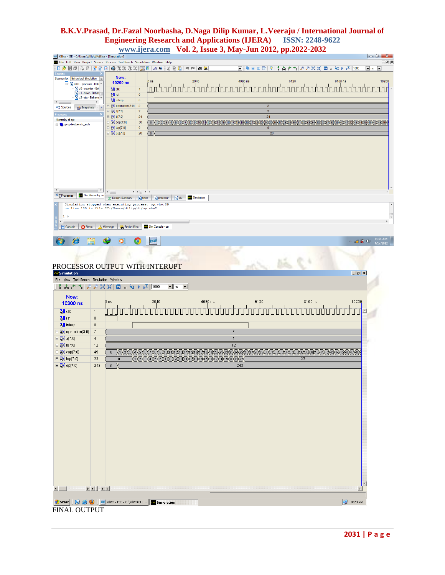| Xilinx - ISE - C:\Users\dilip\di\di.ise - [Simulation]<br>File Edit View Project Source Process Test Bench Simulation Window Help |                                  |                                                                                                        |                                                                                                                                                                                                                         |                   |                                                                   |                     |                                   |    |  |                                                         | $\Box$ 0,<br>oox                 |
|-----------------------------------------------------------------------------------------------------------------------------------|----------------------------------|--------------------------------------------------------------------------------------------------------|-------------------------------------------------------------------------------------------------------------------------------------------------------------------------------------------------------------------------|-------------------|-------------------------------------------------------------------|---------------------|-----------------------------------|----|--|---------------------------------------------------------|----------------------------------|
| 口户日日に口目すて日存ままままズロマド:メモロトゥドああ                                                                                                      |                                  |                                                                                                        |                                                                                                                                                                                                                         |                   |                                                                   |                     | ▣░€□□□▏?│↑☆┌↑▏↗↗XЖ│◘ ∊⋐▶び│™       |    |  |                                                         | $\blacksquare$ ns $\blacksquare$ |
| Sources for: Behavioral Simulation<br><b>E N</b> UUT - processr - Beh                                                             |                                  | Now:<br>10200 ns                                                                                       |                                                                                                                                                                                                                         |                   |                                                                   |                     |                                   |    |  |                                                         |                                  |
| <sup>%</sup> u0 - counter - Bel<br>", u1 - timer - Behav<br>", u2 - alu - Behavic                                                 |                                  | $M$ clk<br>$\frac{1}{2}$ rst                                                                           | 1<br>$\pmb{0}$                                                                                                                                                                                                          |                   |                                                                   |                     |                                   |    |  |                                                         |                                  |
| ◂<br><b>Eng</b> Sources<br><b>PRI</b> Snapshots                                                                                   |                                  | <b>M</b> interp<br>$\Box$ $\partial$ operation[3:0]<br>$\Box$ $\partial$ a[7:0]                        | $\pmb{0}$<br>$\overline{2}$<br>$\overline{2}$                                                                                                                                                                           |                   |                                                                   |                     | $\overline{2}$                    |    |  |                                                         |                                  |
| Hierarchy of op:<br>pop op testbench_arch                                                                                         |                                  | $\Box$ $\partial f$ b[7:0]<br>$\Box$ $\partial$ cop[7:0]                                               | 24<br>50                                                                                                                                                                                                                |                   |                                                                   |                     | 24                                |    |  |                                                         |                                  |
|                                                                                                                                   |                                  | $\Box$ $\odot$ top[7:0]<br>$\Box$ $\partial$ op[7:0]                                                   | $\pmb{0}$<br>$26\phantom{.0}$                                                                                                                                                                                           | $\left( 0\right)$ |                                                                   |                     | $\overline{0}$<br>$\overline{26}$ |    |  |                                                         |                                  |
|                                                                                                                                   |                                  |                                                                                                        |                                                                                                                                                                                                                         |                   |                                                                   |                     |                                   |    |  |                                                         |                                  |
|                                                                                                                                   |                                  |                                                                                                        |                                                                                                                                                                                                                         |                   |                                                                   |                     |                                   |    |  |                                                         |                                  |
|                                                                                                                                   |                                  |                                                                                                        |                                                                                                                                                                                                                         |                   |                                                                   |                     |                                   |    |  |                                                         |                                  |
|                                                                                                                                   |                                  |                                                                                                        |                                                                                                                                                                                                                         |                   |                                                                   |                     |                                   |    |  |                                                         |                                  |
| <b>Processes</b>                                                                                                                  | Sim Hierarchy - o                | <b>E</b> Design Summary                                                                                | $\mathbb{E} \left[ \begin{array}{cc} \mathbb{E} & \mathbb{E} \\ \mathbb{E} & \mathbb{E} \end{array} \right] \mathbb{E} \left[ \begin{array}{cc} \mathbb{E} & \mathbb{E} \\ \mathbb{E} & \mathbb{E} \end{array} \right]$ |                   | <b>W</b> timer <b>W</b> processr <b>W</b> alu <b>E</b> Simulation |                     |                                   |    |  |                                                         |                                  |
|                                                                                                                                   |                                  | Simulation stopped when executing process: op.vhw:89<br>on line 100 in file "C:/Users/dilip/di/op.vhw" |                                                                                                                                                                                                                         |                   |                                                                   |                     |                                   |    |  |                                                         |                                  |
| 1 ><br>$\leftarrow$                                                                                                               |                                  |                                                                                                        |                                                                                                                                                                                                                         |                   |                                                                   |                     |                                   |    |  |                                                         |                                  |
| <b>El Console</b><br><b>B</b> Errors                                                                                              |                                  | <b>Namings</b><br><b>OS</b> Find in Files                                                              |                                                                                                                                                                                                                         | Sim Console - op  |                                                                   |                     |                                   |    |  |                                                         |                                  |
| $\boldsymbol{\mathcal{E}}$                                                                                                        | ă                                | O                                                                                                      | $\bullet$                                                                                                                                                                                                               | <b>ISE</b>        |                                                                   |                     |                                   |    |  | $\sim$ adj $\frac{11}{24}$ (b) $\frac{11:21}{4/17/201}$ |                                  |
|                                                                                                                                   |                                  |                                                                                                        |                                                                                                                                                                                                                         |                   |                                                                   |                     |                                   |    |  |                                                         |                                  |
| PROCESSOR OUTPUT WITH INTERUPT                                                                                                    |                                  |                                                                                                        |                                                                                                                                                                                                                         |                   |                                                                   |                     |                                   |    |  |                                                         |                                  |
| Simulation<br>File View Test Bench Simulation Window                                                                              |                                  |                                                                                                        |                                                                                                                                                                                                                         |                   |                                                                   |                     |                                   |    |  | $\frac{1}{2}$                                           |                                  |
|                                                                                                                                   |                                  |                                                                                                        |                                                                                                                                                                                                                         |                   | $\mathbf{v}$ ns $\mathbf{v}$                                      |                     |                                   |    |  |                                                         |                                  |
| Now:                                                                                                                              |                                  | 0 <sub>ns</sub>                                                                                        |                                                                                                                                                                                                                         |                   |                                                                   |                     |                                   |    |  |                                                         |                                  |
| 10200 ns<br>$\mathbf{M}$ clk                                                                                                      | $\mathbf{1}$                     |                                                                                                        |                                                                                                                                                                                                                         |                   |                                                                   |                     |                                   |    |  |                                                         |                                  |
| <b>M</b> <sub>rst</sub>                                                                                                           | $\mathbf 0$                      |                                                                                                        |                                                                                                                                                                                                                         |                   |                                                                   |                     |                                   |    |  |                                                         |                                  |
| <b>M</b> interp                                                                                                                   | $\mathbb O$                      |                                                                                                        |                                                                                                                                                                                                                         |                   |                                                                   |                     |                                   |    |  |                                                         |                                  |
| $\boxplus \bigotimes$ operation[3:0]<br>⊞ <mark>√</mark> a[7:0]                                                                   | $\overline{7}$<br>$\overline{4}$ |                                                                                                        |                                                                                                                                                                                                                         |                   |                                                                   | 7<br>$\overline{4}$ |                                   |    |  |                                                         |                                  |
| $\boxplus \overline{\odot}$ b[7:0]                                                                                                | 12                               |                                                                                                        |                                                                                                                                                                                                                         |                   |                                                                   | $\overline{12}$     |                                   |    |  |                                                         |                                  |
| $\boxplus \overline{\odot}$ cop[7:0]                                                                                              | 49                               |                                                                                                        |                                                                                                                                                                                                                         |                   |                                                                   |                     |                                   |    |  |                                                         |                                  |
| □ o top[7:0]                                                                                                                      | 23                               | 0                                                                                                      |                                                                                                                                                                                                                         |                   |                                                                   |                     |                                   | 23 |  |                                                         |                                  |
| $\Box$ $\partial$ op[7:0]                                                                                                         | 243                              | $\bf{0}$                                                                                               |                                                                                                                                                                                                                         |                   |                                                                   | 243                 |                                   |    |  |                                                         |                                  |
|                                                                                                                                   |                                  |                                                                                                        |                                                                                                                                                                                                                         |                   |                                                                   |                     |                                   |    |  |                                                         |                                  |
|                                                                                                                                   |                                  |                                                                                                        |                                                                                                                                                                                                                         |                   |                                                                   |                     |                                   |    |  |                                                         |                                  |
|                                                                                                                                   |                                  |                                                                                                        |                                                                                                                                                                                                                         |                   |                                                                   |                     |                                   |    |  |                                                         |                                  |
|                                                                                                                                   |                                  |                                                                                                        |                                                                                                                                                                                                                         |                   |                                                                   |                     |                                   |    |  |                                                         |                                  |
|                                                                                                                                   |                                  |                                                                                                        |                                                                                                                                                                                                                         |                   |                                                                   |                     |                                   |    |  |                                                         |                                  |
|                                                                                                                                   |                                  |                                                                                                        |                                                                                                                                                                                                                         |                   |                                                                   |                     |                                   |    |  |                                                         |                                  |
|                                                                                                                                   |                                  |                                                                                                        |                                                                                                                                                                                                                         |                   |                                                                   |                     |                                   |    |  |                                                         |                                  |
|                                                                                                                                   |                                  |                                                                                                        |                                                                                                                                                                                                                         |                   |                                                                   |                     |                                   |    |  |                                                         |                                  |
|                                                                                                                                   |                                  |                                                                                                        |                                                                                                                                                                                                                         |                   |                                                                   |                     |                                   |    |  |                                                         |                                  |
|                                                                                                                                   |                                  |                                                                                                        |                                                                                                                                                                                                                         |                   |                                                                   |                     |                                   |    |  |                                                         |                                  |
|                                                                                                                                   |                                  |                                                                                                        |                                                                                                                                                                                                                         |                   |                                                                   |                     |                                   |    |  |                                                         |                                  |
|                                                                                                                                   |                                  |                                                                                                        |                                                                                                                                                                                                                         |                   |                                                                   |                     |                                   |    |  |                                                         |                                  |
|                                                                                                                                   |                                  |                                                                                                        |                                                                                                                                                                                                                         |                   |                                                                   |                     |                                   |    |  |                                                         |                                  |
|                                                                                                                                   |                                  |                                                                                                        |                                                                                                                                                                                                                         |                   |                                                                   |                     |                                   |    |  |                                                         |                                  |
|                                                                                                                                   |                                  |                                                                                                        |                                                                                                                                                                                                                         |                   |                                                                   |                     |                                   |    |  |                                                         |                                  |
| $\left  \cdot \right $                                                                                                            | $\frac{1}{2}$                    |                                                                                                        |                                                                                                                                                                                                                         |                   |                                                                   |                     |                                   |    |  |                                                         |                                  |
| <b>A</b> Start   <b>C</b> $\bullet$ <b>C</b>   iss Xilinx - ISE - C:\Xilinx\CLL   <b>E</b> Simulation                             |                                  |                                                                                                        |                                                                                                                                                                                                                         |                   |                                                                   |                     |                                   |    |  | $\mathbb{P}$ 8:23 PM                                    |                                  |

FINAL OUTPUT